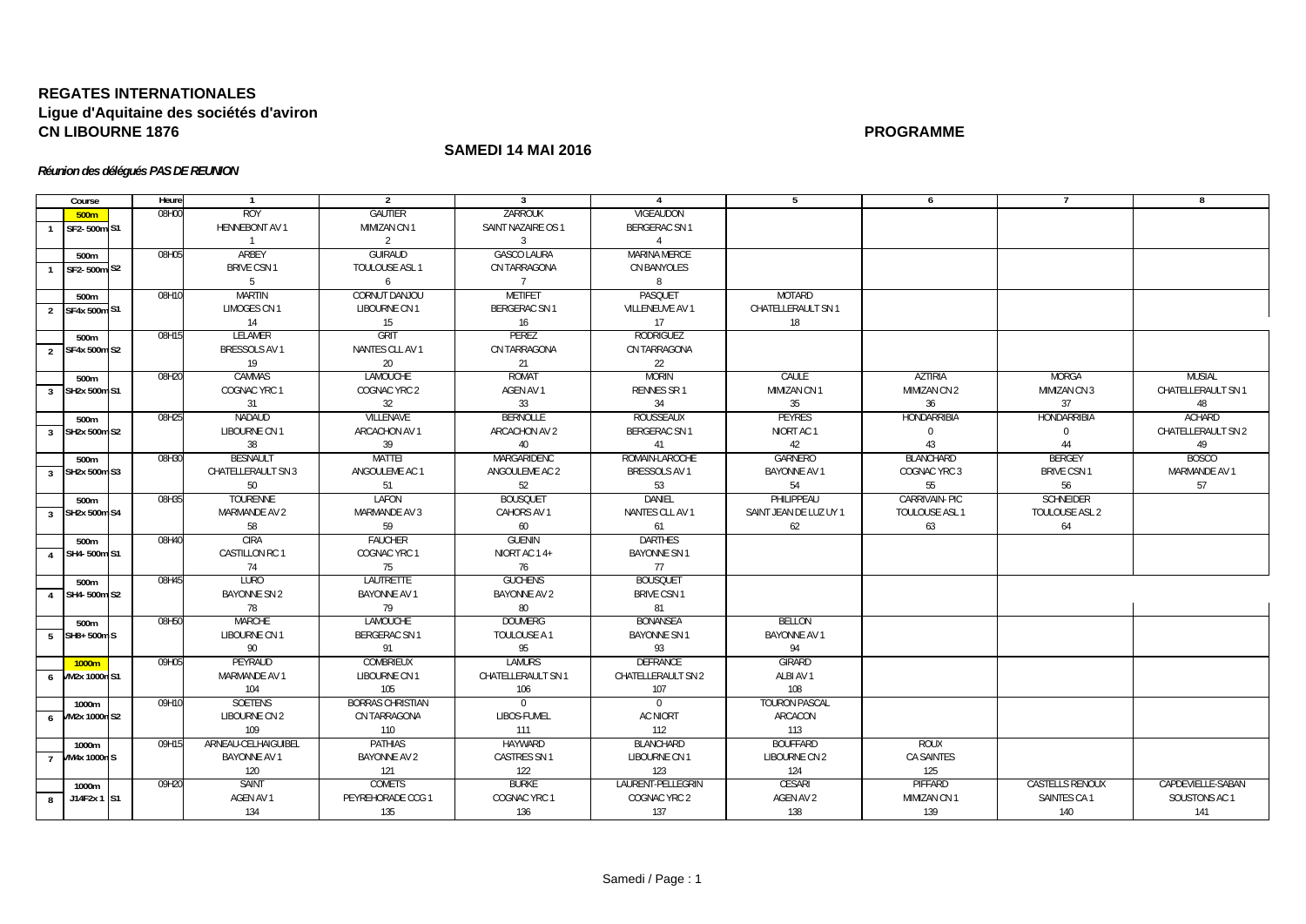## **REGATES INTERNATIONALESLigue d'Aquitaine des sociétés d'aviron CN LIBOURNE 1876PROGRAMME**

## **SAMEDI 14 MAI 2016**

## *Réunion des délégués PAS DE REUNION*

| Course                         | Heure | $\overline{1}$        | $\overline{2}$          | $\overline{3}$       | 4                   | - 5                    | 6                     | $\overline{7}$         | 8                  |
|--------------------------------|-------|-----------------------|-------------------------|----------------------|---------------------|------------------------|-----------------------|------------------------|--------------------|
| 500m                           | 08H00 | <b>ROY</b>            | <b>GAUTIER</b>          | ZARROUK              | <b>VIGEAUDON</b>    |                        |                       |                        |                    |
| SF2-500m S1                    |       | <b>HENNEBONT AV 1</b> | MIMIZAN CN 1            | SAINT NAZAIRE OS 1   | BERGERAC SN 1       |                        |                       |                        |                    |
|                                |       | $\overline{1}$        | 2                       | $\overline{3}$       | $\overline{4}$      |                        |                       |                        |                    |
| 500m                           | 08H05 | ARBEY                 | <b>GUIRAUD</b>          | <b>GASCO LAURA</b>   | <b>MARINA MERCE</b> |                        |                       |                        |                    |
| SF2-500m S2                    |       | <b>BRIVE CSN1</b>     | TOULOUSE ASL 1          | CN TARRAGONA         | CN BANYOLES         |                        |                       |                        |                    |
|                                |       | 5                     | 6                       | 7                    | 8                   |                        |                       |                        |                    |
| 500m                           | 08H10 | MARTIN                | CORNUT DANJOU           | METIFET              | PASQUET             | MOTARD                 |                       |                        |                    |
| 2 SF4x 500m S1                 |       | LIMOGES CN 1          | LIBOURNE CN 1           | <b>BERGERAC SN 1</b> | VILLENEUVE AV 1     | CHATELLERAULT SN 1     |                       |                        |                    |
|                                |       | 14                    | 15                      | 16                   | 17                  | 18                     |                       |                        |                    |
| 500m                           | 08H15 | <b>LELAMER</b>        | <b>GRIT</b>             | PEREZ                | <b>RODRIGUEZ</b>    |                        |                       |                        |                    |
| SF4x 500m S2<br>2              |       | BRESSOLS AV 1         | NANTES CLL AV 1         | CN TARRAGONA         | CN TARRAGONA        |                        |                       |                        |                    |
|                                |       | 19                    | 20                      | 21                   | 22                  |                        |                       |                        |                    |
| 500m                           | 08H20 | <b>CAMMAS</b>         | <b>LAMOUCHE</b>         | <b>ROMAT</b>         | <b>MORIN</b>        | CAULE                  | <b>AZTIRIA</b>        | <b>MORGA</b>           | <b>MUSIAL</b>      |
| SH2x 500m S1<br>$\overline{3}$ |       | COGNAC YRC 1          | COGNAC YRC 2            | AGEN AV 1            | RENNES SR 1         | MIMIZAN CN 1           | MIMIZAN CN 2          | MIMIZAN CN 3           | CHATELLERAULT SN 1 |
|                                |       | 31                    | 32                      | 33                   | 34                  | 35                     | 36                    | 37                     | 48                 |
| 500m                           | 08H25 | <b>NADAUD</b>         | <b>VILLENAVE</b>        | <b>BERNOLLE</b>      | ROUSSEAUX           | PEYRES                 | HONDARRIBIA           | HONDARRIBIA            | <b>ACHARD</b>      |
| SH2x 500m S2<br>$\overline{3}$ |       | LIBOURNE CN 1         | ARCACHON AV 1           | ARCACHON AV 2        | <b>BERGERAC SN1</b> | NIORT AC 1             | $\mathbf{0}$          | $\mathbf 0$            | CHATELLERAULT SN 2 |
|                                |       | 38                    | 39                      | 40                   | 41                  | 42                     | 43                    | 44                     | 49                 |
| 500m                           | 08H30 | <b>BESNAULT</b>       | <b>MATTEI</b>           | MARGARIDENC          | ROMAIN-LAROCHE      | <b>GARNERO</b>         | <b>BLANCHARD</b>      | <b>BERGEY</b>          | <b>BOSCO</b>       |
| SH2x 500m S3<br>$\overline{3}$ |       | CHATELLERAULT SN 3    | ANGOULEME AC 1          | ANGOULEME AC 2       | BRESSOLS AV 1       | <b>BAYONNE AV 1</b>    | COGNAC YRC 3          | <b>BRIVE CSN 1</b>     | MARMANDE AV 1      |
|                                |       | 50                    | 51                      | 52                   | 53                  | 54                     | 55                    | 56                     | 57                 |
| 500m                           | 08H35 | <b>TOURENNE</b>       | LAFON                   | <b>BOUSQUET</b>      | DANIEL              | PHILIPPEAU             | CARRIVAIN- PIC        | <b>SCHNEIDER</b>       |                    |
| 3 SH2x 500m S4                 |       | MARMANDE AV 2         | MARMANDE AV 3           | CAHORS AV 1          | NANTES CLL AV 1     | SAINT JEAN DE LUZ UY 1 | <b>TOULOUSE ASL 1</b> | TOULOUSE ASL 2         |                    |
|                                |       | 58                    | 59                      | 60                   | 61                  | 62                     | 63                    | 64                     |                    |
| 500m                           | 08H40 | <b>CIRA</b>           | <b>FAUCHER</b>          | <b>GUENIN</b>        | DARTHES             |                        |                       |                        |                    |
| SH4-500m S1<br>$\overline{4}$  |       | CASTILLON RC 1        | COGNAC YRC 1            | NIORT AC 14+         | <b>BAYONNE SN1</b>  |                        |                       |                        |                    |
|                                |       | 74                    | 75                      | 76                   | 77                  |                        |                       |                        |                    |
| 500m                           | 08H45 | LURO                  | LAUTRETTE               | <b>GUCHENS</b>       | <b>BOUSQUET</b>     |                        |                       |                        |                    |
| SH4-500m S2<br>$\overline{4}$  |       | <b>BAYONNE SN 2</b>   | <b>BAYONNE AV 1</b>     | BAYONNE AV 2         | <b>BRIVE CSN 1</b>  |                        |                       |                        |                    |
|                                |       | 78                    | 79                      | 80                   | 81                  |                        |                       |                        |                    |
| 500m                           | 08H50 | <b>MARCHE</b>         | <b>LAMOUCHE</b>         | <b>DOUMERG</b>       | <b>BONANSEA</b>     | <b>BELLON</b>          |                       |                        |                    |
| SH8+500mS<br>5                 |       | LIBOURNE CN 1         | <b>BERGERAC SN 1</b>    | TOULOUSE A 1         | <b>BAYONNE SN1</b>  | <b>BAYONNE AV 1</b>    |                       |                        |                    |
|                                |       | 90                    | 91                      | 95                   | 93                  | 94                     |                       |                        |                    |
| 1000m                          | 09H05 | PEYRAUD               | <b>COMBRIEUX</b>        | <b>LAMURS</b>        | <b>DEFRANCE</b>     | GIRARD                 |                       |                        |                    |
| VM2x 1000n S1<br>6             |       | MARMANDE AV 1         | LIBOURNE CN 1           | CHATELLERAULT SN 1   | CHATELLERAULT SN 2  | ALBI AV 1              |                       |                        |                    |
|                                |       | 104                   | 105                     | 106                  | 107                 | 108                    |                       |                        |                    |
| 1000m                          | 09H10 | <b>SOETENS</b>        | <b>BORRAS CHRISTIAN</b> | $\Omega$             | $\Omega$            | <b>TOURON PASCAL</b>   |                       |                        |                    |
| <b>VM2x 1000n S2</b><br>6      |       | LIBOURNE CN 2         | CN TARRAGONA            | LIBOS-FUMEL          | <b>AC NIORT</b>     | ARCACON                |                       |                        |                    |
|                                |       | 109                   | 110                     | 111                  | 112                 | 113                    |                       |                        |                    |
| 1000m                          | 09H15 | ARNEAU-CELHAIGUIBEL   | PATHIAS                 | <b>HAYWARD</b>       | BLANCHARD           | <b>BOUFFARD</b>        | <b>ROUX</b>           |                        |                    |
| 7 / M4x 1000n S                |       | BAYONNE AV 1          | <b>BAYONNE AV 2</b>     | CASTRES SN 1         | LIBOURNE CN 1       | LIBOURNE CN 2          | CA SAINTES            |                        |                    |
|                                |       | 120                   | 121                     | 122                  | 123                 | 124                    | 125                   |                        |                    |
| 1000m                          | 09H20 | SAINT                 | <b>COMETS</b>           | <b>BURKE</b>         | LAURENT-PELLEGRIN   | <b>CESARI</b>          | PIFFARD               | <b>CASTELLS RENOUX</b> | CAPDEVIELLE-SABAN  |
| J14F2x 1 S1<br>8               |       | AGEN AV 1             | PEYREHORADE CCG 1       | COGNAC YRC 1         | COGNAC YRC 2        | AGEN AV 2              | MIMIZAN CN 1          | SAINTES CA 1           | SOUSTONS AC 1      |
|                                |       | 134                   | 135                     | 136                  | 137                 | 138                    | 139                   | 140                    | 141                |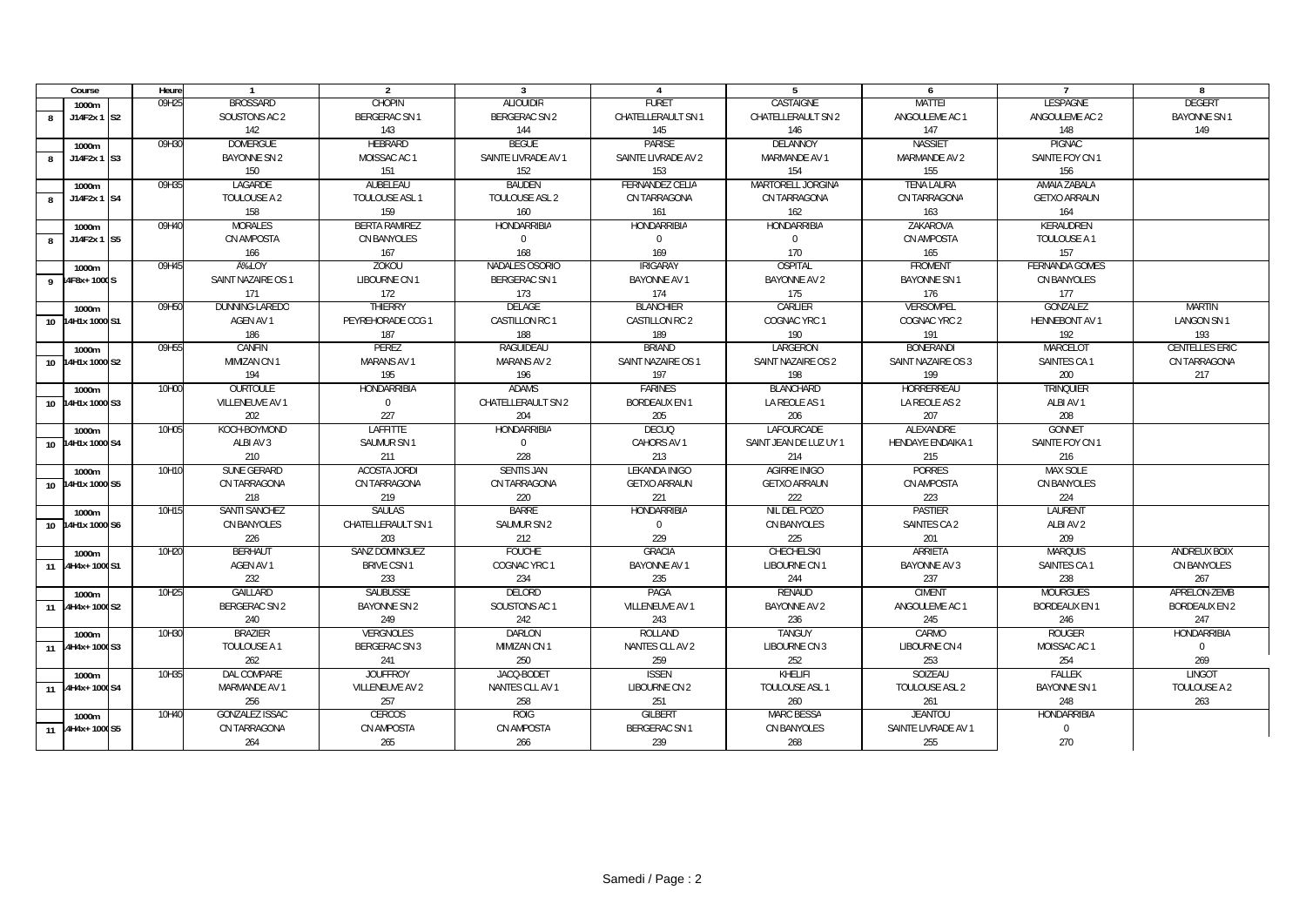| Course                          | Heure |                       | $\overline{2}$       | 3                    | $\overline{4}$         | -5                     | 6                   |                       | 8                     |
|---------------------------------|-------|-----------------------|----------------------|----------------------|------------------------|------------------------|---------------------|-----------------------|-----------------------|
| 1000m                           | 09H25 | <b>BROSSARD</b>       | <b>CHOPIN</b>        | <b>ALIOUIDIR</b>     | <b>FURET</b>           | <b>CASTAIGNE</b>       | <b>MATTEI</b>       | <b>LESPAGNE</b>       | <b>DEGERT</b>         |
| J14F2x 1 S2<br>8                |       | SOUSTONS AC 2         | <b>BERGERAC SN1</b>  | <b>BERGERAC SN 2</b> | CHATELLERAULT SN 1     | CHATELLERAULT SN 2     | ANGOULEME AC 1      | ANGOULEME AC 2        | <b>BAYONNE SN1</b>    |
|                                 |       | 142                   | 143                  | 144                  | 145                    | 146                    | 147                 | 148                   | 149                   |
| 1000m                           | 09H30 | <b>DOMERGUE</b>       | <b>HEBRARD</b>       | <b>BEGUE</b>         | <b>PARISE</b>          | DELANNOY               | <b>NASSIET</b>      | <b>PIGNAC</b>         |                       |
| J14F2x 1<br>S <sub>3</sub><br>R |       | <b>BAYONNE SN 2</b>   | MOISSAC AC 1         | SAINTE LIVRADE AV 1  | SAINTE LIVRADE AV 2    | MARMANDE AV 1          | MARMANDE AV 2       | SAINTE FOY CN 1       |                       |
|                                 |       | 150                   | 151                  | 152                  | 153                    | 154                    | 155                 | 156                   |                       |
| 1000m                           | 09H35 | LAGARDE               | AUBELEAU             | <b>BAUDEN</b>        | <b>FERNANDEZ CELIA</b> | MARTORELL JORGINA      | <b>TENA LAURA</b>   | AMAIA ZABALA          |                       |
| J14F2x 1 S4<br>$\mathbf{R}$     |       | TOULOUSE A 2          | TOULOUSE ASL 1       | TOULOUSE ASL 2       | CN TARRAGONA           | CN TARRAGONA           | CN TARRAGONA        | <b>GETXO ARRAUN</b>   |                       |
|                                 |       | 158                   | 159                  | 160                  | 161                    | 162                    | 163                 | 164                   |                       |
| 1000m                           | 09H40 | <b>MORALES</b>        | <b>BERTA RAMIREZ</b> | <b>HONDARRIBIA</b>   | <b>HONDARRIBIA</b>     | <b>HONDARRIBIA</b>     | ZAKAROVA            | KERAUDREN             |                       |
| J14F2x 1 S5<br>$\mathbf{g}$     |       | CN AMPOSTA            | <b>CN BANYOLES</b>   | $\Omega$             | $\mathbf{0}$           | $\Omega$               | CN AMPOSTA          | TOULOUSE A 1          |                       |
|                                 |       | 166                   | 167                  | 168                  | 169                    | 170                    | 165                 | 157                   |                       |
| 1000m                           | 09H45 | A‰LOY                 | ZOKOU                | NADALES OSORIO       | <b>IRIGARAY</b>        | OSPITAL                | <b>FROMENT</b>      | <b>FERNANDA GOMES</b> |                       |
| 4F8x+1000S                      |       | SAINT NAZAIRE OS 1    | LIBOURNE CN 1        | <b>BERGERAC SN 1</b> | BAYONNE AV 1           | <b>BAYONNE AV 2</b>    | <b>BAYONNE SN 1</b> | CN BANYOLES           |                       |
|                                 |       | 171                   | 172                  | 173                  | 174                    | 175                    | 176                 | 177                   |                       |
| 1000m                           | 09H50 | DUNNING-LAREDO        | <b>THIERRY</b>       | DELAGE               | <b>BLANCHIER</b>       | CARLIER                | <b>VERSOMPEL</b>    | GONZALEZ              | MARTIN                |
| 10 14H1x 1000 S1                |       | AGEN AV 1             | PEYREHORADE CCG 1    | CASTILLON RC 1       | CASTILLON RC 2         | COGNAC YRC 1           | COGNAC YRC 2        | <b>HENNEBONT AV 1</b> | <b>LANGON SN1</b>     |
|                                 |       | 186                   | 187                  | 188                  | 189                    | 190                    | 191                 | 192                   | 193                   |
| 1000m                           | 09H55 | CANFIN                | PEREZ                | RAGUIDEAU            | <b>BRIAND</b>          | LARGERON               | <b>BONERANDI</b>    | MARCELOT              | <b>CENTELLES ERIC</b> |
| 10 14H1x 1000 S2                |       | MIMIZAN CN 1          | <b>MARANS AV 1</b>   | <b>MARANS AV 2</b>   | SAINT NAZAIRE OS 1     | SAINT NAZAIRE OS 2     | SAINT NAZAIRE OS 3  | SAINTES CA 1          | CN TARRAGONA          |
|                                 |       | 194                   | 195                  | 196                  | 197                    | 198                    | 199                 | 200                   | 217                   |
| 1000m                           | 10H00 | <b>OURTOULE</b>       | <b>HONDARRIBIA</b>   | <b>ADAMS</b>         | <b>FARINES</b>         | <b>BLANCHARD</b>       | HORRERREAU          | <b>TRINQUIER</b>      |                       |
| 10 14H1x 1000 S3                |       | VILLENEUVE AV 1       | $\mathbf{0}$         | CHATELLERAULT SN 2   | <b>BORDEAUX EN 1</b>   | LA REOLE AS 1          | LA REOLE AS 2       | ALBI AV 1             |                       |
|                                 |       | 202                   | 227                  | 204                  | 205                    | 206                    | 207                 | 208                   |                       |
| 1000m                           | 10H05 | KOCH-BOYMOND          | <b>LAFFITTE</b>      | <b>HONDARRIBIA</b>   | <b>DECUQ</b>           | LAFOURCADE             | ALEXANDRE           | <b>GONNET</b>         |                       |
| 10 14H1x 1000 S4                |       | ALBI AV 3             | SAUMUR SN 1          | $\mathbf{0}$         | CAHORS AV 1            | SAINT JEAN DE LUZ UY 1 | HENDAYE ENDAIKA 1   | SAINTE FOY CN 1       |                       |
|                                 |       | 210                   | 211                  | 228                  | 213                    | 214                    | 215                 | 216                   |                       |
| 1000m                           | 10H10 | SUNE GERARD           | <b>ACOSTA JORDI</b>  | <b>SENTIS JAN</b>    | LEKANDA INIGO          | <b>AGIRRE INIGO</b>    | <b>PORRES</b>       | <b>MAX SOLE</b>       |                       |
| 10 14H1x 1000 S5                |       | CN TARRAGONA          | CN TARRAGONA         | CN TARRAGONA         | <b>GETXO ARRAUN</b>    | <b>GETXO ARRAUN</b>    | CN AMPOSTA          | CN BANYOLES           |                       |
|                                 |       | 218                   | 219                  | 220                  | 221                    | 222                    | 223                 | 224                   |                       |
| 1000m                           | 10H15 | SANTI SANCHEZ         | <b>SAULAS</b>        | <b>BARRE</b>         | <b>HONDARRIBIA</b>     | NIL DEL POZO           | PASTIER             | LAURENT               |                       |
| 10 14H1x 1000 S6                |       | CN BANYOLES           | CHATELLERAULT SN 1   | SAUMUR SN 2          | $\Omega$               | CN BANYOLES            | SAINTES CA 2        | ALBI AV 2             |                       |
|                                 |       | 226                   | 203                  | 212                  | 229                    | 225                    | 201                 | 209                   |                       |
| 1000m                           | 10H20 | <b>BERHAUT</b>        | SANZ DOMINGUEZ       | <b>FOUCHE</b>        | <b>GRACIA</b>          | CHECHELSKI             | <b>ARRIETA</b>      | <b>MARQUIS</b>        | ANDREUX BOIX          |
| 4H4x+1000S1<br>11               |       | AGEN AV 1             | <b>BRIVE CSN1</b>    | COGNAC YRC 1         | BAYONNE AV 1           | LIBOURNE CN 1          | <b>BAYONNE AV 3</b> | SAINTES CA 1          | CN BANYOLES           |
|                                 |       | 232                   | 233                  | 234                  | 235                    | 244                    | 237                 | 238                   | 267                   |
| 1000m                           | 10H25 | <b>GAILLARD</b>       | <b>SAUBUSSE</b>      | DELORD               | PAGA                   | <b>RENAUD</b>          | <b>CIMENT</b>       | <b>MOURGUES</b>       | APRELON-ZEMB          |
| $H4H4x + 1000S2$<br>11          |       | BERGERAC SN 2         | <b>BAYONNE SN 2</b>  | SOUSTONS AC 1        | VILLENEUVE AV 1        | <b>BAYONNE AV 2</b>    | ANGOULEME AC 1      | <b>BORDEAUX EN 1</b>  | <b>BORDEAUX EN 2</b>  |
|                                 |       | 240                   | 249                  | 242                  | 243                    | 236                    | 245                 | 246                   | 247                   |
| 1000m                           | 10H30 | <b>BRAZIER</b>        | <b>VERGNOLES</b>     | DARLON               | ROLLAND                | TANGUY                 | CARMO               | <b>ROUGER</b>         | <b>HONDARRIBIA</b>    |
| 11 4H4x+1000S3                  |       | TOULOUSE A 1          | <b>BERGERAC SN 3</b> | MIMIZAN CN 1         | NANTES CLL AV 2        | LIBOURNE CN 3          | LIBOURNE CN 4       | MOISSAC AC 1          | $\mathbf 0$           |
|                                 |       | 262                   | 241                  | 250                  | 259                    | 252                    | 253                 | 254                   | 269                   |
| 1000m                           | 10H35 | <b>DAL COMPARE</b>    | <b>JOUFFROY</b>      | JACQ-BODET           | <b>ISSEN</b>           | KHELIFI                | SOIZEAU             | <b>FALLEK</b>         | <b>LINGOT</b>         |
| 11 4H4x+1000S4                  |       | MARMANDE AV 1         | VILLENEUVE AV 2      | NANTES CLL AV 1      | LIBOURNE CN 2          | TOULOUSE ASL 1         | TOULOUSE ASL 2      | <b>BAYONNE SN 1</b>   | TOULOUSE A 2          |
|                                 |       | 256                   | 257                  | 258                  | 251                    | 260                    | 261                 | 248                   | 263                   |
| 1000m                           | 10H40 | <b>GONZALEZ ISSAC</b> | <b>CERCOS</b>        | <b>ROIG</b>          | <b>GILBERT</b>         | <b>MARC BESSA</b>      | <b>JEANTOU</b>      | <b>HONDARRIBIA</b>    |                       |
| 11 4H4x+1000S5                  |       | CN TARRAGONA          | CN AMPOSTA           | CN AMPOSTA           | <b>BERGERAC SN 1</b>   | CN BANYOLES            | SAINTE LIVRADE AV 1 | $\mathbf 0$           |                       |
|                                 |       | 264                   | 265                  | 266                  | 239                    | 268                    | 255                 | 270                   |                       |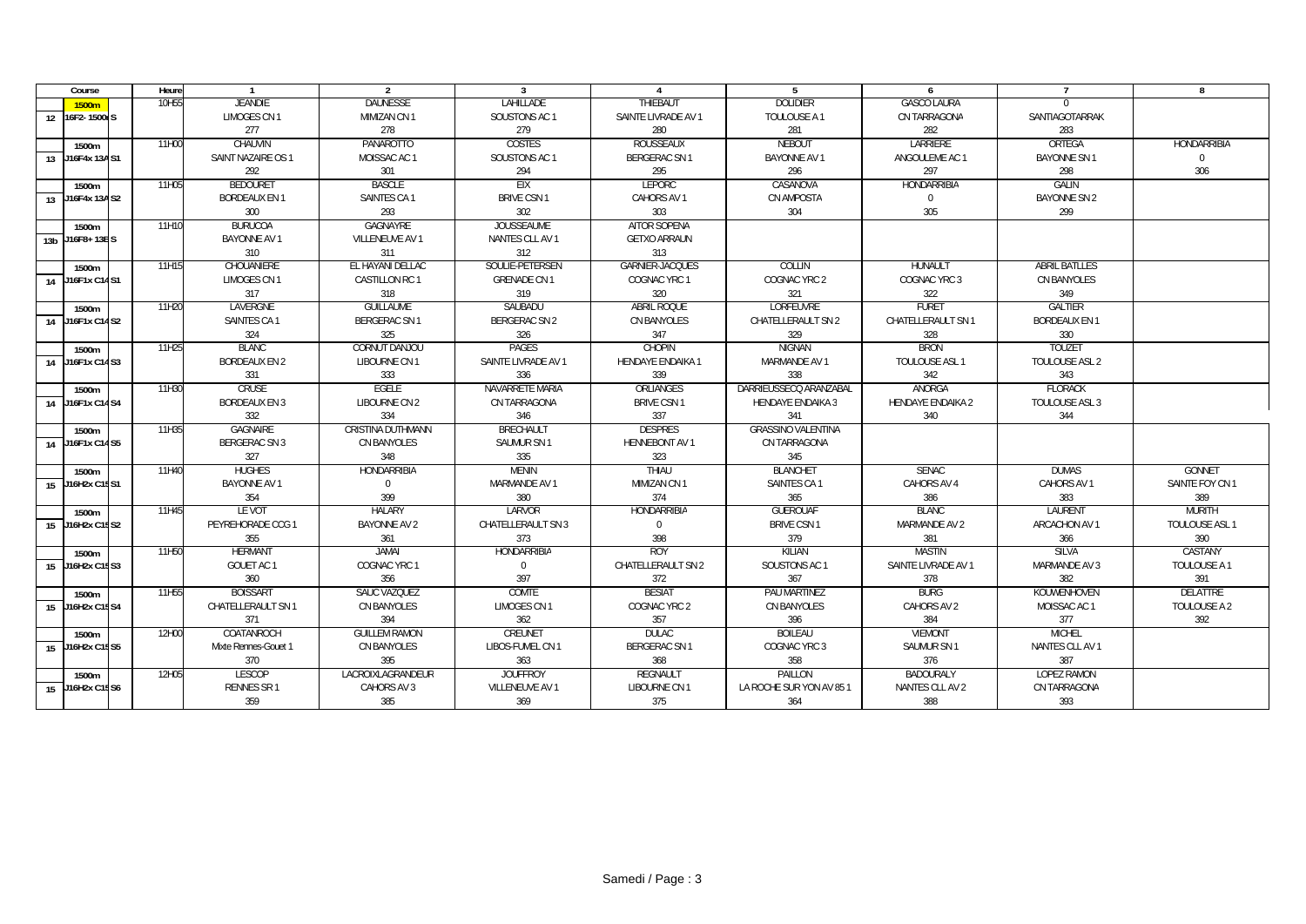| Course             | Heure | $\mathbf{1}$         | 2                    | 3                   | $\overline{4}$         | 5                         | 6                        | $\overline{7}$       | 8                  |
|--------------------|-------|----------------------|----------------------|---------------------|------------------------|---------------------------|--------------------------|----------------------|--------------------|
| 1500 <sub>m</sub>  | 10H55 | <b>JFANDIF</b>       | <b>DAUNESSE</b>      | <b>LAHILLADE</b>    | <b>THIFBAUT</b>        | <b>DOLIDIER</b>           | <b>GASCO LAURA</b>       | $\Omega$             |                    |
| 16F2-1500rS<br>12  |       | LIMOGES CN 1         | MIMIZAN CN 1         | SOUSTONS AC 1       | SAINTE LIVRADE AV 1    | TOULOUSE A 1              | CN TARRAGONA             | SANTIAGOTARRAK       |                    |
|                    |       | 277                  | 278                  | 279                 | 280                    | 281                       | 282                      | 283                  |                    |
| 1500m              | 11H00 | CHAUVIN              | PANAROTTO            | COSTES              | ROUSSEAUX              | <b>NEBOUT</b>             | LARRIERE                 | ORTEGA               | <b>HONDARRIBIA</b> |
| 13 J16F4x 13AS1    |       | SAINT NAZAIRE OS 1   | MOISSAC AC 1         | SOUSTONS AC 1       | <b>BERGERAC SN1</b>    | <b>BAYONNE AV 1</b>       | ANGOULEME AC 1           | <b>BAYONNE SN1</b>   | $\overline{0}$     |
|                    |       | 292                  | 301                  | 294                 | 295                    | 296                       | 297                      | 298                  | 306                |
| 1500m              | 11H05 | <b>BEDOURET</b>      | <b>BASCLE</b>        | <b>FIX</b>          | <b>LEPORC</b>          | CASANOVA                  | HONDARRIBIA              | <b>GALIN</b>         |                    |
| 13 J16F4x 13A S2   |       | <b>BORDEAUX EN 1</b> | SAINTES CA 1         | <b>BRIVE CSN1</b>   | CAHORS AV 1            | CN AMPOSTA                | $\mathbf 0$              | <b>BAYONNE SN 2</b>  |                    |
|                    |       | 300                  | 293                  | 302                 | 303                    | 304                       | 305                      | 299                  |                    |
| 1500m              | 11H10 | <b>BURUCOA</b>       | <b>GAGNAYRE</b>      | <b>JOUSSEAUME</b>   | <b>AITOR SOPENA</b>    |                           |                          |                      |                    |
| 13b J16F8+13BS     |       | BAYONNE AV 1         | VILLENEUVE AV 1      | NANTES CLL AV 1     | <b>GETXO ARRAUN</b>    |                           |                          |                      |                    |
|                    |       | 310                  | 311                  | 312                 | 313                    |                           |                          |                      |                    |
| 1500m              | 11H15 | CHOUANIERE           | EL HAYANI DELLAC     | SOULIE-PETERSEN     | <b>GARNIER-JACQUES</b> | COLLIN                    | <b>HUNAULT</b>           | <b>ABRIL BATLLES</b> |                    |
| J16F1x C14S1<br>14 |       | LIMOGES CN 1         | CASTILLON RC 1       | <b>GRENADE CN 1</b> | COGNAC YRC 1           | COGNAC YRC 2              | COGNAC YRC 3             | CN BANYOLES          |                    |
|                    |       | 317                  | 318                  | 319                 | 320                    | 321                       | 322                      | 349                  |                    |
| 1500m              | 11H20 | LAVERGNE             | <b>GUILLAUME</b>     | SAUBADU             | <b>ABRIL ROQUE</b>     | <b>LORFEUVRE</b>          | <b>FURET</b>             | GALTIER              |                    |
| 14 J16F1x C14 S2   |       | SAINTES CA 1         | <b>BERGERAC SN 1</b> | BERGERAC SN 2       | <b>CN BANYOLES</b>     | CHATELLERAULT SN 2        | CHATELLERAULT SN 1       | <b>BORDEAUX EN 1</b> |                    |
|                    |       | 324                  | 325                  | 326                 | 347                    | 329                       | 328                      | 330                  |                    |
| 1500m              | 11H25 | <b>BLANC</b>         | CORNUT DANJOU        | <b>PAGES</b>        | <b>CHOPIN</b>          | <b>NIGNAN</b>             | <b>BRON</b>              | <b>TOUZET</b>        |                    |
| 14 J16F1x C14S3    |       | <b>BORDEAUX EN 2</b> | LIBOURNE CN 1        | SAINTE LIVRADE AV 1 | HENDAYE ENDAIKA 1      | MARMANDE AV 1             | TOULOUSE ASL 1           | TOULOUSE ASL 2       |                    |
|                    |       | 331                  | 333                  | 336                 | 339                    | 338                       | 342                      | 343                  |                    |
| 1500m              | 11H30 | <b>CRUSE</b>         | <b>EGELE</b>         | NAVARRETE MARIA     | ORLIANGES              | DARRIEUSSECO ARANZABAL    | ANORGA                   | <b>FLORACK</b>       |                    |
| J16F1x C14S4<br>14 |       | <b>BORDEAUX EN 3</b> | <b>LIBOURNE CN 2</b> | CN TARRAGONA        | <b>BRIVE CSN 1</b>     | <b>HENDAYE ENDAIKA 3</b>  | <b>HENDAYE ENDAIKA 2</b> | TOULOUSE ASL 3       |                    |
|                    |       | 332                  | 334                  | 346                 | 337                    | 341                       | 340                      | 344                  |                    |
| 1500m              | 11H35 | <b>GAGNAIRE</b>      | CRISTINA DUTHMANN    | <b>BRECHAULT</b>    | <b>DESPRES</b>         | <b>GRASSINO VALENTINA</b> |                          |                      |                    |
| 14 J16F1x C14S5    |       | BERGERAC SN 3        | CN BANYOLES          | SAUMUR SN 1         | <b>HENNEBONT AV 1</b>  | CN TARRAGONA              |                          |                      |                    |
|                    |       | 327                  | 348                  | 335                 | 323                    | 345                       |                          |                      |                    |
| 1500m              | 11H40 | <b>HUGHES</b>        | <b>HONDARRIBIA</b>   | <b>MENIN</b>        | THIAU                  | <b>BLANCHET</b>           | <b>SENAC</b>             | <b>DUMAS</b>         | <b>GONNET</b>      |
| 15 J16H2x C15S1    |       | BAYONNE AV 1         | $\mathbf 0$          | MARMANDE AV 1       | MIMIZAN CN 1           | SAINTES CA 1              | CAHORS AV 4              | CAHORS AV 1          | SAINTE FOY CN 1    |
|                    |       | 354                  | 399                  | 380                 | 374                    | 365                       | 386                      | 383                  | 389                |
| 1500m              | 11H45 | LE VOT               | <b>HALARY</b>        | LARVOR              | HONDARRIBIA            | <b>GUEROUAF</b>           | <b>BLANC</b>             | LAURENT              | MURITH             |
| J16H2x C15S2<br>15 |       | PEYREHORADE CCG 1    | <b>BAYONNE AV 2</b>  | CHATELLERAULT SN 3  | $\Omega$               | <b>BRIVE CSN 1</b>        | MARMANDE AV 2            | ARCACHON AV 1        | TOULOUSE ASL 1     |
|                    |       | 355                  | 361                  | 373                 | 398                    | 379                       | 381                      | 366                  | 390                |
| 1500m              | 11H50 | <b>HERMANT</b>       | <b>JAMAL</b>         | <b>HONDARRIBIA</b>  | <b>ROY</b>             | <b>KII IAN</b>            | <b>MASTIN</b>            | <b>SILVA</b>         | CASTANY            |
| J16H2x C15S3<br>15 |       | GOUET AC 1           | COGNAC YRC 1         | $\Omega$            | CHATELLERAULT SN 2     | SOUSTONS AC 1             | SAINTE LIVRADE AV 1      | MARMANDE AV 3        | TOULOUSE A 1       |
|                    |       | 360                  | 356                  | 397                 | 372                    | 367                       | 378                      | 382                  | 391                |
| 1500m              | 11H55 | <b>BOISSART</b>      | SAUC VAZQUEZ         | COMTE               | <b>BESIAT</b>          | PAU MARTINEZ              | <b>BURG</b>              | KOUWENHOVEN          | <b>DELATTRE</b>    |
| J16H2x C15S4<br>15 |       | CHATELLERAULT SN 1   | CN BANYOLES          | <b>LIMOGES CN 1</b> | COGNAC YRC 2           | CN BANYOLES               | CAHORS AV 2              | MOISSAC AC 1         | TOULOUSE A 2       |
|                    |       | 371                  | 394                  | 362                 | 357                    | 396                       | 384                      | 377                  | 392                |
| 1500m              | 12H00 | COATANROCH           | <b>GUILLEM RAMON</b> | <b>CREUNET</b>      | <b>DULAC</b>           | <b>BOILEAU</b>            | <b>VIEMONT</b>           | <b>MICHEL</b>        |                    |
| 15 J16H2x C15S5    |       | Mixte Rennes-Gouet 1 | CN BANYOLES          | LIBOS-FUMEL CN 1    | <b>BERGERAC SN 1</b>   | COGNAC YRC 3              | SAUMUR SN 1              | NANTES CLL AV 1      |                    |
|                    |       | 370                  | 395                  | 363                 | 368                    | 358                       | 376                      | 387                  |                    |
| 1500m              | 12H05 | <b>IFSCOP</b>        | LACROIXLAGRANDEUR    | <b>JOUFFROY</b>     | REGNAULT               | PAILLON                   | BADOURALY                | <b>LOPEZ RAMON</b>   |                    |
| J16H2x C15S6<br>15 |       | RENNES SR 1          | CAHORS AV 3          | VILLENEUVE AV 1     | LIBOURNE CN 1          | LA ROCHE SUR YON AV 85 1  | NANTES CLL AV 2          | CN TARRAGONA         |                    |
|                    |       | 359                  | 385                  | 369                 | 375                    | 364                       | 388                      | 393                  |                    |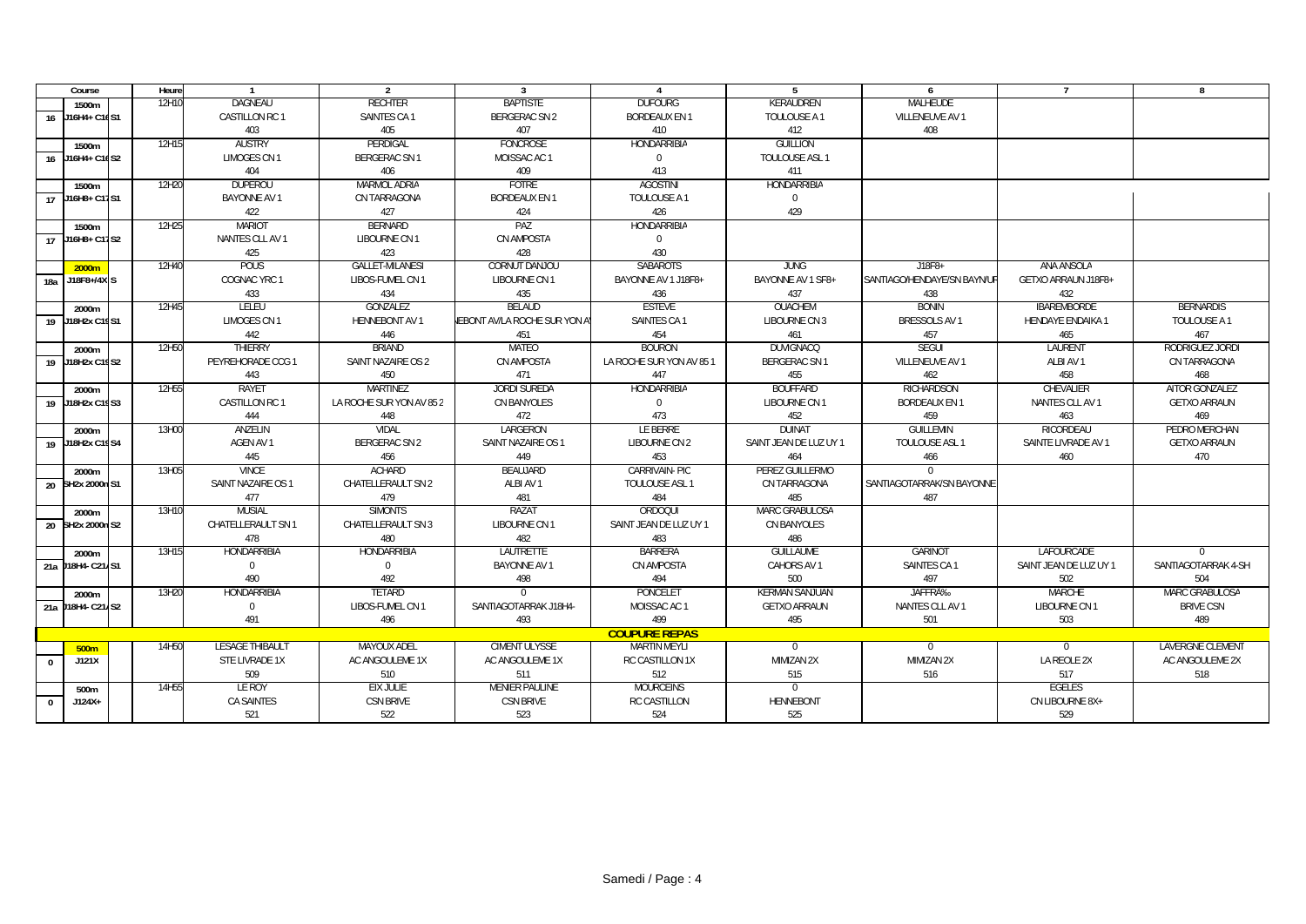|              | Course            | Heure | $\mathbf{1}$        | $\overline{2}$           | 3                             | 4                        | 5                      | 6                           | $\overline{ }$          | 8                   |
|--------------|-------------------|-------|---------------------|--------------------------|-------------------------------|--------------------------|------------------------|-----------------------------|-------------------------|---------------------|
|              | 1500m             | 12H10 | <b>DAGNEAU</b>      | <b>RECHTER</b>           | <b>BAPTISTE</b>               | <b>DUFOURG</b>           | KERAUDREN              | <b>MALHEUDE</b>             |                         |                     |
|              | 16 J16H4+ C16S1   |       | CASTILLON RC 1      | SAINTES CA 1             | BERGERAC SN 2                 | <b>BORDEAUX EN 1</b>     | TOULOUSE A 1           | VILLENEUVE AV 1             |                         |                     |
|              |                   |       | 403                 | 405                      | 407                           | 410                      | 412                    | 408                         |                         |                     |
|              | 1500m             | 12H15 | <b>AUSTRY</b>       | PERDIGAL                 | <b>FONCROSE</b>               | <b>HONDARRIBIA</b>       | <b>GUILLION</b>        |                             |                         |                     |
|              | 16 J16H4+ C16S2   |       | <b>LIMOGES CN1</b>  | <b>BERGERAC SN 1</b>     | MOISSAC AC 1                  | $\Omega$                 | TOULOUSE ASL 1         |                             |                         |                     |
|              |                   |       | 404                 | 406                      | 409                           | 413                      | 411                    |                             |                         |                     |
|              | 1500m             | 12H20 | DUPEROU             | <b>MARMOL ADRIA</b>      | <b>FOTRE</b>                  | <b>AGOSTINI</b>          | <b>HONDARRIBIA</b>     |                             |                         |                     |
|              | 17 J16H8+ C17S1   |       | <b>BAYONNE AV 1</b> | CN TARRAGONA             | <b>BORDEAUX EN 1</b>          | TOULOUSE A 1             | $\Omega$               |                             |                         |                     |
|              |                   |       | 422                 | 427                      | 424                           | 426                      | 429                    |                             |                         |                     |
|              | 1500m             | 12H25 | <b>MARIOT</b>       | <b>BERNARD</b>           | PAZ                           | <b>HONDARRIBIA</b>       |                        |                             |                         |                     |
|              | $17$ J16H8+ C17S2 |       | NANTES CLL AV 1     | LIBOURNE CN 1            | CN AMPOSTA                    | $\mathbf 0$              |                        |                             |                         |                     |
|              |                   |       | 425                 | 423                      | 428                           | 430                      |                        |                             |                         |                     |
|              | 2000m             | 12H40 | POUS                | <b>GALLET-MILANESI</b>   | CORNUT DANJOU                 | <b>SABAROTS</b>          | <b>JUNG</b>            | $J18F8+$                    | ANA ANSOLA              |                     |
| 18a          | J18F8+/4X S       |       | COGNAC YRC 1        | LIBOS-FUMEL CN 1         | LIBOURNE CN 1                 | BAYONNE AV 1 J18F8+      | BAYONNE AV 1 SF8+      | SANTIAGO/HENDAYE/SN BAYN/UR | GETXO ARRAUN J18F8+     |                     |
|              |                   |       | 433                 | 434                      | 435                           | 436                      | 437                    | 438                         | 432                     |                     |
|              | 2000m             | 12H45 | LELEU               | GONZALEZ                 | <b>BELAUD</b>                 | <b>ESTEVE</b>            | OUACHEM                | <b>BONIN</b>                | <b>IBAREMBORDE</b>      | <b>BERNARDIS</b>    |
|              | 19 J18H2x C19S1   |       | <b>LIMOGES CN1</b>  | <b>HENNEBONT AV 1</b>    | JEBONT AV/LA ROCHE SUR YON AY | SAINTES CA 1             | LIBOURNE CN 3          | <b>BRESSOLS AV 1</b>        | <b>HENDAYE ENDAIKA1</b> | TOULOUSE A 1        |
|              |                   |       | 442                 | 446                      | 451                           | 454                      | 461                    | 457                         | 465                     | 467                 |
|              | 2000m             | 12H50 | THIERRY             | <b>BRIAND</b>            | MATEO                         | <b>BOURON</b>            | <b>DUVIGNACQ</b>       | <b>SEGUI</b>                | LAURENT                 | RODRIGUEZ JORDI     |
|              | 19 J18H2x C19S2   |       | PEYREHORADE CCG 1   | SAINT NAZAIRE OS 2       | CN AMPOSTA                    | LA ROCHE SUR YON AV 85 1 | <b>BERGERAC SN1</b>    | VILLENEUVE AV 1             | ALBI AV 1               | CN TARRAGONA        |
|              |                   |       | 443                 | 450                      | 471                           | 447                      | 455                    | 462                         | 458                     | 468                 |
|              | 2000m             | 12H55 | <b>RAYET</b>        | <b>MARTINEZ</b>          | <b>JORDI SUREDA</b>           | <b>HONDARRIBIA</b>       | <b>BOUFFARD</b>        | <b>RICHARDSON</b>           | CHEVALIER               | AITOR GONZALEZ      |
|              | 19 J18H2x C19S3   |       | CASTILLON RC 1      | LA ROCHE SUR YON AV 85 2 | CN BANYOLES                   | $\mathbf{0}$             | LIBOURNE CN 1          | <b>BORDEAUX EN 1</b>        | NANTES CLL AV 1         | <b>GETXO ARRAUN</b> |
|              |                   |       | 444                 | 448                      | 472                           | 473                      | 452                    | 459                         | 463                     | 469                 |
|              | 2000m             | 13H00 | ANZELIN             | <b>VIDAL</b>             | LARGERON                      | LE BERRE                 | <b>DUINAT</b>          | <b>GUILLEMIN</b>            | RICORDEAU               | PEDRO MERCHAN       |
|              | 19 J18H2x C19S4   |       | AGEN AV 1           | <b>BERGERAC SN 2</b>     | SAINT NAZAIRE OS 1            | LIBOURNE CN 2            | SAINT JEAN DE LUZ UY 1 | TOULOUSE ASL 1              | SAINTE LIVRADE AV 1     | <b>GETXO ARRAUN</b> |
|              |                   |       | 445                 | 456                      | 449                           | 453                      | 464                    | 466                         | 460                     | 470                 |
|              | 2000m             | 13H05 | <b>VINCE</b>        | <b>ACHARD</b>            | BEAUJARD                      | CARRIVAIN- PIC           | PEREZ GUILLERMO        | $\Omega$                    |                         |                     |
|              | 20 SH2x 2000n S1  |       | SAINT NAZAIRE OS 1  | CHATELLERAULT SN 2       | ALBI AV 1                     | TOULOUSE ASL 1           | CN TARRAGONA           | SANTIAGOTARRAK/SN BAYONNE   |                         |                     |
|              |                   |       | 477                 | 479                      | 481                           | 484                      | 485                    | 487                         |                         |                     |
|              | 2000m             | 13H10 | <b>MUSIAL</b>       | <b>SIMONTS</b>           | <b>RAZAT</b>                  | ORDOQUI                  | MARC GRABULOSA         |                             |                         |                     |
|              | 20 SH2x 2000n S2  |       | CHATELLERAULT SN 1  | CHATELLERAULT SN 3       | LIBOURNE CN 1                 | SAINT JEAN DE LUZ UY 1   | CN BANYOLES            |                             |                         |                     |
|              |                   |       | 478                 | 480                      | 482                           | 483                      | 486                    |                             |                         |                     |
|              | 2000m             | 13H15 | HONDARRIBIA         | HONDARRIBIA              | <b>LAUTRETTE</b>              | <b>BARRERA</b>           | <b>GUILLAUME</b>       | <b>GARINOT</b>              | LAFOURCADE              | $\Omega$            |
|              | 21a J18H4-C21AS1  |       | $\mathbf{0}$        | $\mathbf 0$              | <b>BAYONNE AV 1</b>           | CN AMPOSTA               | CAHORS AV 1            | SAINTES CA 1                | SAINT JEAN DE LUZ UY 1  | SANTIAGOTARRAK 4-SH |
|              |                   |       | 490                 | 492                      | 498                           | 494                      | 500                    | 497                         | 502                     | 504                 |
|              | 2000m             | 13H20 | <b>HONDARRIBIA</b>  | <b>TETARD</b>            | $\Omega$                      | <b>PONCELET</b>          | <b>KERMAN SANJUAN</b>  | JAFFRA <sub>%</sub>         | <b>MARCHE</b>           | MARC GRABULOSA      |
|              | 21a J18H4- C21AS2 |       | $\mathbf 0$         | LIBOS-FUMEL CN 1         | SANTIAGOTARRAK J18H4-         | MOISSAC AC 1             | <b>GETXO ARRAUN</b>    | NANTES CLL AV 1             | LIBOURNE CN 1           | <b>BRIVE CSN</b>    |
|              |                   |       | 491                 | 496                      | 493                           | 499                      | 495                    | 501                         | 503                     | 489                 |
|              |                   |       |                     |                          |                               | <b>COUPURE REPAS</b>     |                        |                             |                         |                     |
|              | 500m              | 14H50 | LESAGE THIBAULT     | MAYOUX ADEL              | CIMENT ULYSSE                 | <b>MARTIN MEYLI</b>      | $\overline{0}$         | $\overline{0}$              | $\overline{0}$          | LAVERGNE CLEMENT    |
| $\mathbf 0$  | J121X             |       | STE LIVRADE 1X      | AC ANGOULEME 1X          | AC ANGOULEME 1X               | RC CASTILLON 1X          | MIMIZAN 2X             | MIMIZAN 2X                  | LA REOLE 2X             | AC ANGOULEME 2X     |
|              |                   |       | 509                 | 510                      | 511                           | 512                      | 515                    | 516                         | 517                     | 518                 |
|              | 500m              | 14H55 | LE ROY              | <b>EIX JULIE</b>         | <b>MENIER PAULINE</b>         | <b>MOURCEINS</b>         | $\overline{0}$         |                             | EGELES                  |                     |
| $\mathbf{0}$ | $J124X+$          |       | <b>CA SAINTES</b>   | <b>CSN BRIVE</b>         | <b>CSN BRIVE</b>              | <b>RC CASTILLON</b>      | <b>HENNEBONT</b>       |                             | CN LIBOURNE 8X+         |                     |
|              |                   |       | 521                 | 522                      | 523                           | 524                      | 525                    |                             | 529                     |                     |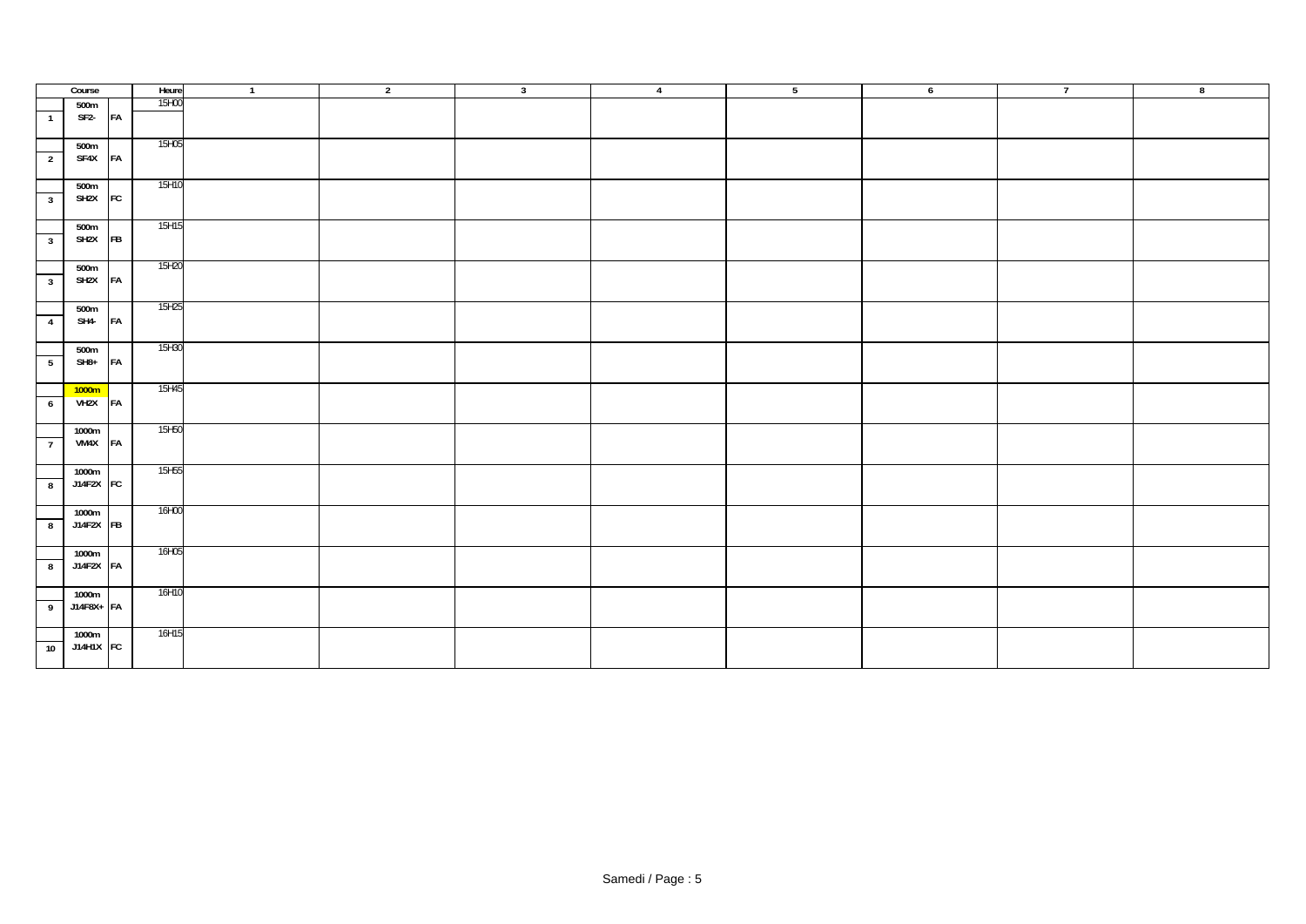|                         | Course                    |           | Heure | $\overline{1}$ | $\overline{2}$ | $\overline{\mathbf{3}}$ | $\overline{4}$ | 5 | $6\overline{6}$ | $\overline{7}$ | $\overline{\mathbf{8}}$ |
|-------------------------|---------------------------|-----------|-------|----------------|----------------|-------------------------|----------------|---|-----------------|----------------|-------------------------|
|                         | 500m                      |           | 15H00 |                |                |                         |                |   |                 |                |                         |
| $\overline{1}$          | SF <sub>2</sub> -         | FA        |       |                |                |                         |                |   |                 |                |                         |
| $\overline{2}$          | 500m<br>SF4X FA           |           | 15H05 |                |                |                         |                |   |                 |                |                         |
| 3 <sup>1</sup>          | 500m<br>SH <sub>2</sub> X | FC        | 15H10 |                |                |                         |                |   |                 |                |                         |
| $\overline{\mathbf{3}}$ | 500m<br>SH <sub>2</sub> X | <b>FB</b> | 15H15 |                |                |                         |                |   |                 |                |                         |
| 3 <sup>1</sup>          | 500m<br>SH <sub>2</sub> X | FA        | 15H20 |                |                |                         |                |   |                 |                |                         |
| $\overline{4}$          | 500m<br>SH4-              | FA        | 15H25 |                |                |                         |                |   |                 |                |                         |
| $5\overline{)}$         | 500m<br>$SH8+$            | FA        | 15H30 |                |                |                         |                |   |                 |                |                         |
| $6\overline{6}$         | 1000m<br>VH2X FA          |           | 15H45 |                |                |                         |                |   |                 |                |                         |
| $\overline{7}$          | 1000m<br>VM4X             | FA        | 15H50 |                |                |                         |                |   |                 |                |                         |
| 8                       | 1000m<br>J14F2X FC        |           | 15H55 |                |                |                         |                |   |                 |                |                         |
| $\overline{\mathbf{8}}$ | 1000m<br>J14F2X FB        |           | 16H00 |                |                |                         |                |   |                 |                |                         |
| $\overline{\mathbf{8}}$ | 1000m<br>J14F2X FA        |           | 16H05 |                |                |                         |                |   |                 |                |                         |
| 9                       | 1000m<br>J14F8X+ FA       |           | 16H10 |                |                |                         |                |   |                 |                |                         |
| $\overline{10}$         | 1000m<br>J14H1X FC        |           | 16H15 |                |                |                         |                |   |                 |                |                         |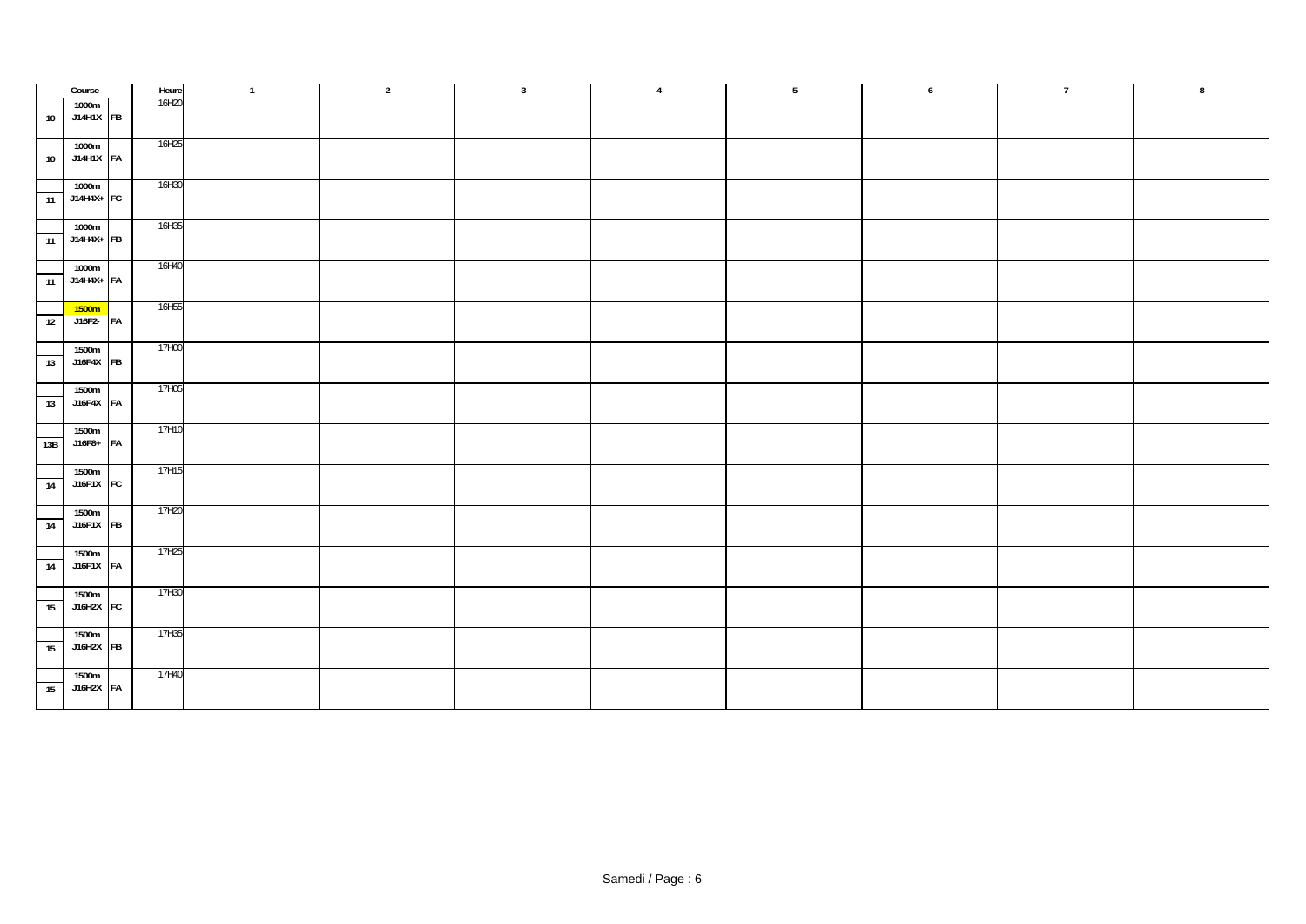|                 | Course              | Heure | $\overline{1}$ | $\overline{2}$ | $\overline{\mathbf{3}}$ | $\overline{4}$ | $5\overline{)}$ | 6 | $\overline{7}$ | $^{\circ}$ |
|-----------------|---------------------|-------|----------------|----------------|-------------------------|----------------|-----------------|---|----------------|------------|
|                 | 1000m               | 16H20 |                |                |                         |                |                 |   |                |            |
| 10              | J14H1X FB           |       |                |                |                         |                |                 |   |                |            |
|                 |                     |       |                |                |                         |                |                 |   |                |            |
|                 | 1000m               | 16H25 |                |                |                         |                |                 |   |                |            |
| 10              | J14H1X FA           |       |                |                |                         |                |                 |   |                |            |
|                 |                     |       |                |                |                         |                |                 |   |                |            |
|                 | 1000m               | 16H30 |                |                |                         |                |                 |   |                |            |
| $\overline{11}$ | J14H4X+ FC          |       |                |                |                         |                |                 |   |                |            |
|                 |                     |       |                |                |                         |                |                 |   |                |            |
|                 |                     | 16H35 |                |                |                         |                |                 |   |                |            |
|                 | 1000m<br>J14H4X+ FB |       |                |                |                         |                |                 |   |                |            |
| 11              |                     |       |                |                |                         |                |                 |   |                |            |
|                 |                     |       |                |                |                         |                |                 |   |                |            |
|                 | 1000m               | 16H40 |                |                |                         |                |                 |   |                |            |
|                 | $11$ J14H4X+ FA     |       |                |                |                         |                |                 |   |                |            |
|                 |                     |       |                |                |                         |                |                 |   |                |            |
|                 | 1500m               | 16H55 |                |                |                         |                |                 |   |                |            |
| $\overline{12}$ | $J16F2 - FA$        |       |                |                |                         |                |                 |   |                |            |
|                 |                     |       |                |                |                         |                |                 |   |                |            |
|                 | 1500m               | 17H00 |                |                |                         |                |                 |   |                |            |
| 13              | J16F4X FB           |       |                |                |                         |                |                 |   |                |            |
|                 |                     |       |                |                |                         |                |                 |   |                |            |
|                 | 1500m               | 17H05 |                |                |                         |                |                 |   |                |            |
| 13              | J16F4X FA           |       |                |                |                         |                |                 |   |                |            |
|                 |                     |       |                |                |                         |                |                 |   |                |            |
|                 | 1500m               | 17H10 |                |                |                         |                |                 |   |                |            |
| 13B             | J16F8+ FA           |       |                |                |                         |                |                 |   |                |            |
|                 |                     |       |                |                |                         |                |                 |   |                |            |
|                 | 1500m               | 17H15 |                |                |                         |                |                 |   |                |            |
| $\overline{14}$ | J16F1X FC           |       |                |                |                         |                |                 |   |                |            |
|                 |                     |       |                |                |                         |                |                 |   |                |            |
|                 | 1500m               | 17H20 |                |                |                         |                |                 |   |                |            |
| 14              | J16F1X FB           |       |                |                |                         |                |                 |   |                |            |
|                 |                     |       |                |                |                         |                |                 |   |                |            |
|                 |                     | 17H25 |                |                |                         |                |                 |   |                |            |
|                 | 1500m<br>J16F1X FA  |       |                |                |                         |                |                 |   |                |            |
| 14              |                     |       |                |                |                         |                |                 |   |                |            |
|                 |                     |       |                |                |                         |                |                 |   |                |            |
|                 | 1500m               | 17H30 |                |                |                         |                |                 |   |                |            |
| 15              | J16H2X FC           |       |                |                |                         |                |                 |   |                |            |
|                 |                     |       |                |                |                         |                |                 |   |                |            |
|                 | 1500m               | 17H35 |                |                |                         |                |                 |   |                |            |
| 15              | J16H2X FB           |       |                |                |                         |                |                 |   |                |            |
|                 |                     |       |                |                |                         |                |                 |   |                |            |
|                 | 1500m               | 17H40 |                |                |                         |                |                 |   |                |            |
| 15              | J16H2X FA           |       |                |                |                         |                |                 |   |                |            |
|                 |                     |       |                |                |                         |                |                 |   |                |            |